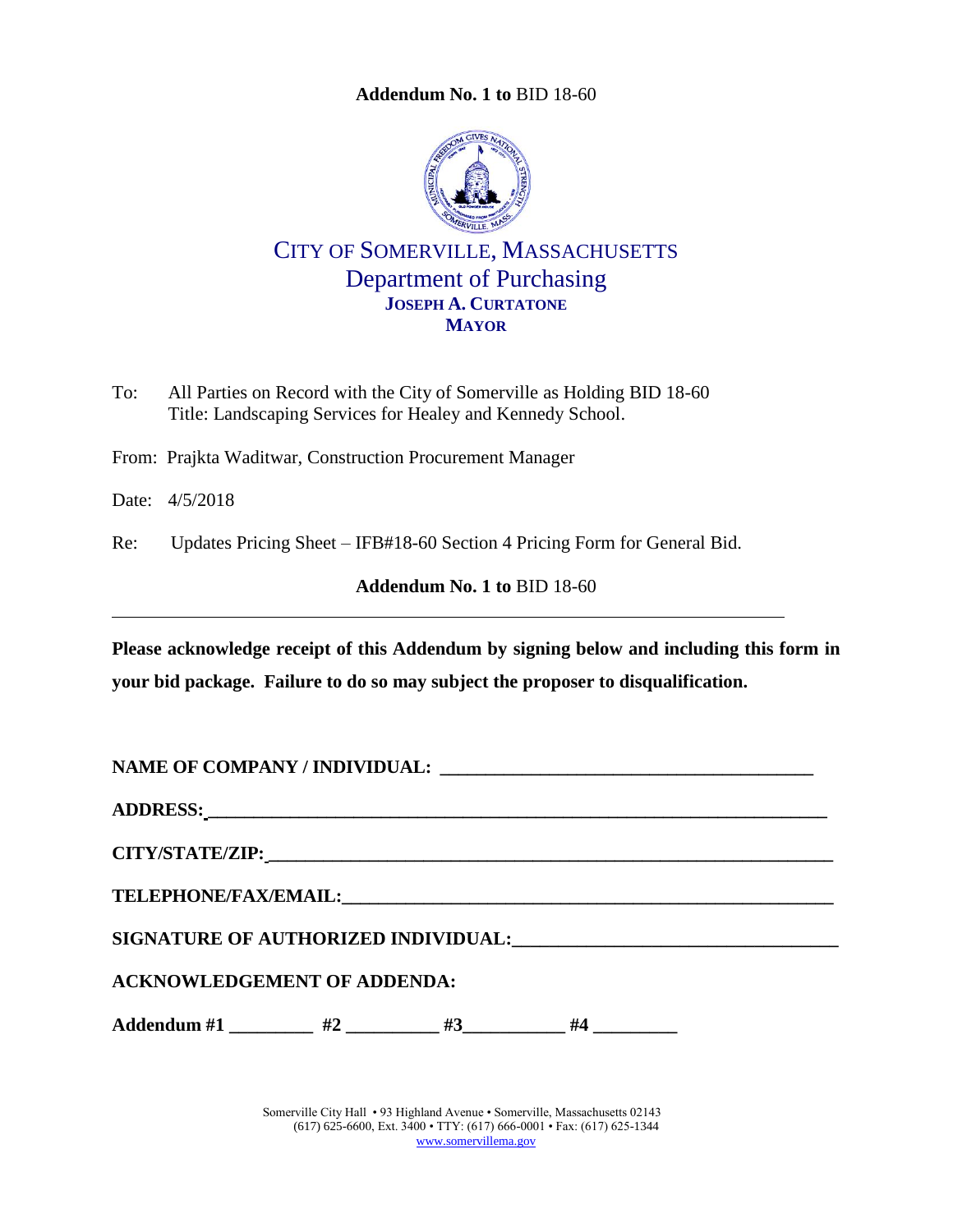<span id="page-0-0"></span>

CITY OF SOMERVILLE, MASSACHUSETTS Department of Purchasing **JOSEPH A. CURTATONE MAYOR**

To: All Parties on Record with the City of Somerville as Holding BID 18-60 Title: Landscaping Services for Healey and Kennedy School.

From: Prajkta Waditwar, Construction Procurement Manager

Date: 4/5/2018

Re: Updates Pricing Sheet – IFB#18-60 Section 4 Pricing Form for General Bid.

**Addendum No. 1 to** [BID 18-60](#page-0-0)

**Please acknowledge receipt of this Addendum by signing below and including this form in your bid package. Failure to do so may subject the proposer to disqualification.**

**NAME OF COMPANY / INDIVIDUAL: \_\_\_\_\_\_\_\_\_\_\_\_\_\_\_\_\_\_\_\_\_\_\_\_\_\_\_\_\_\_\_\_\_\_\_\_\_\_\_\_\_**

**ADDRESS: \_\_\_\_\_\_\_\_\_\_\_\_\_\_\_\_\_\_\_\_\_\_\_\_\_\_\_\_\_\_\_\_\_\_\_\_\_\_\_\_\_\_\_\_\_\_\_\_\_\_\_\_\_\_\_\_\_\_\_\_\_\_\_\_\_\_\_\_**

**CITY/STATE/ZIP: \_\_\_\_\_\_\_\_\_\_\_\_\_\_\_\_\_\_\_\_\_\_\_\_\_\_\_\_\_\_\_\_\_\_\_\_\_\_\_\_\_\_\_\_\_\_\_\_\_\_\_\_\_\_\_\_\_\_\_\_\_\_**

 $\bf{TELEPHONE/FAX/EMAIL:}$ 

SIGNATURE OF AUTHORIZED INDIVIDUAL: **\_\_\_\_\_\_\_\_\_\_\_\_\_\_\_\_\_\_\_\_\_\_\_\_\_\_\_** 

**ACKNOWLEDGEMENT OF ADDENDA:**

Addendum #1 \_\_\_\_\_\_\_\_\_ #2 \_\_\_\_\_\_\_\_ #3\_\_\_\_\_\_\_\_\_ #4 \_\_\_\_\_\_\_\_\_

Somerville City Hall • 93 Highland Avenue • Somerville, Massachusetts 02143 (617) 625-6600, Ext. 3400 • TTY: (617) 666-0001 • Fax: (617) 625-1344 [www.somervillema.gov](http://www.somervillema.gov/)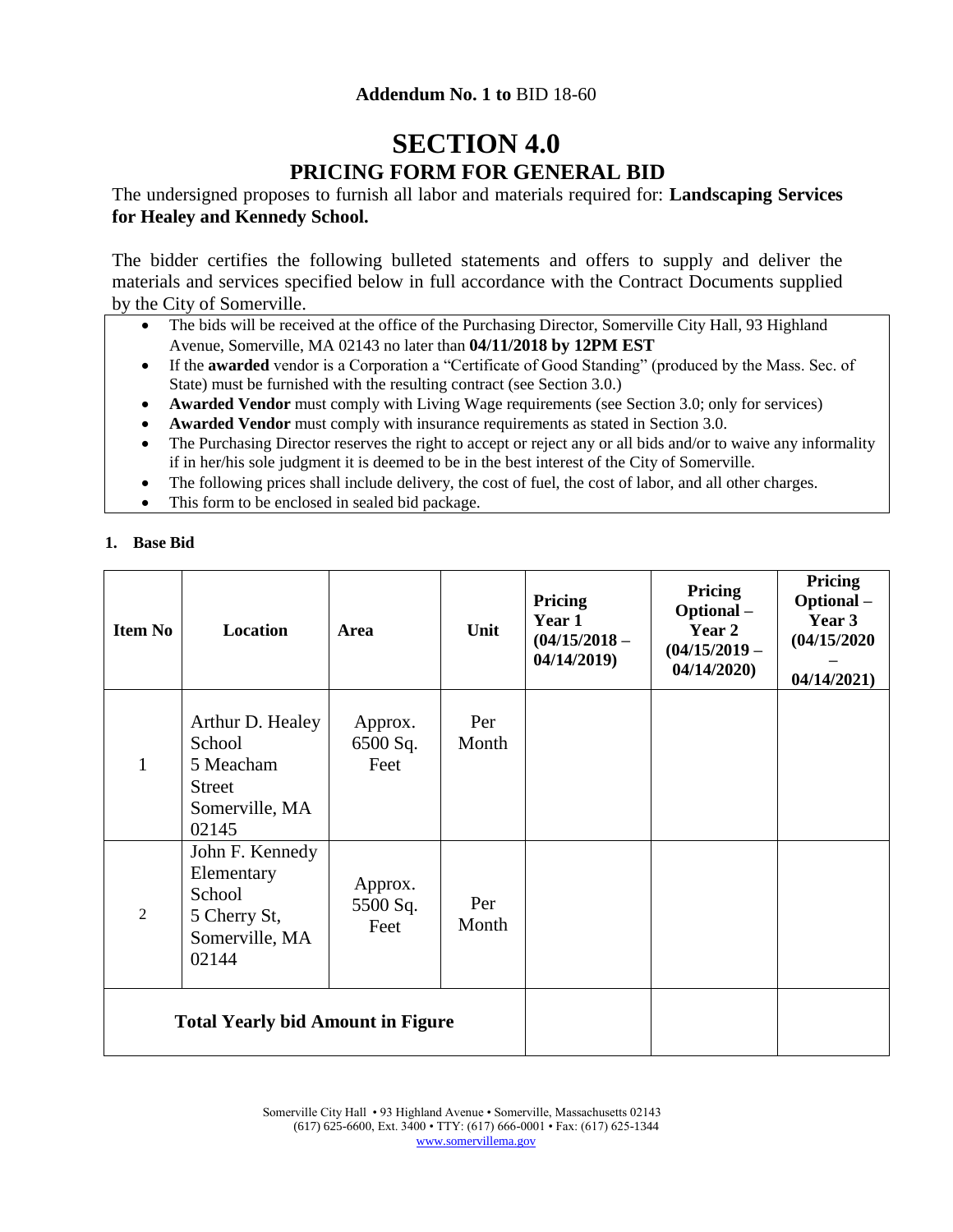# **SECTION 4.0 PRICING FORM FOR GENERAL BID**

The undersigned proposes to furnish all labor and materials required for: **Landscaping Services for Healey and Kennedy School.**

The bidder certifies the following bulleted statements and offers to supply and deliver the materials and services specified below in full accordance with the Contract Documents supplied by the City of Somerville.

- The bids will be received at the office of the Purchasing Director, Somerville City Hall, 93 Highland Avenue, Somerville, MA 02143 no later than **04/11/2018 by 12PM EST**
- If the **awarded** vendor is a Corporation a "Certificate of Good Standing" (produced by the Mass. Sec. of State) must be furnished with the resulting contract (see Section 3.0.)
- **Awarded Vendor** must comply with Living Wage requirements (see Section 3.0; only for services)
- **Awarded Vendor** must comply with insurance requirements as stated in Section 3.0.
- The Purchasing Director reserves the right to accept or reject any or all bids and/or to waive any informality if in her/his sole judgment it is deemed to be in the best interest of the City of Somerville.
- The following prices shall include delivery, the cost of fuel, the cost of labor, and all other charges.
- This form to be enclosed in sealed bid package.

#### **1. Base Bid**

| <b>Item No</b>                           | <b>Location</b>                                                                     | Area                        | Unit         | Pricing<br>Year 1<br>$(04/15/2018 -$<br>04/14/2019 | Pricing<br>Optional-<br>Year 2<br>$(04/15/2019 -$<br>04/14/2020 | Pricing<br>Optional-<br>Year 3<br>(04/15/2020)<br>04/14/2021 |
|------------------------------------------|-------------------------------------------------------------------------------------|-----------------------------|--------------|----------------------------------------------------|-----------------------------------------------------------------|--------------------------------------------------------------|
| 1                                        | Arthur D. Healey<br>School<br>5 Meacham<br><b>Street</b><br>Somerville, MA<br>02145 | Approx.<br>6500 Sq.<br>Feet | Per<br>Month |                                                    |                                                                 |                                                              |
| 2                                        | John F. Kennedy<br>Elementary<br>School<br>5 Cherry St,<br>Somerville, MA<br>02144  | Approx.<br>5500 Sq.<br>Feet | Per<br>Month |                                                    |                                                                 |                                                              |
| <b>Total Yearly bid Amount in Figure</b> |                                                                                     |                             |              |                                                    |                                                                 |                                                              |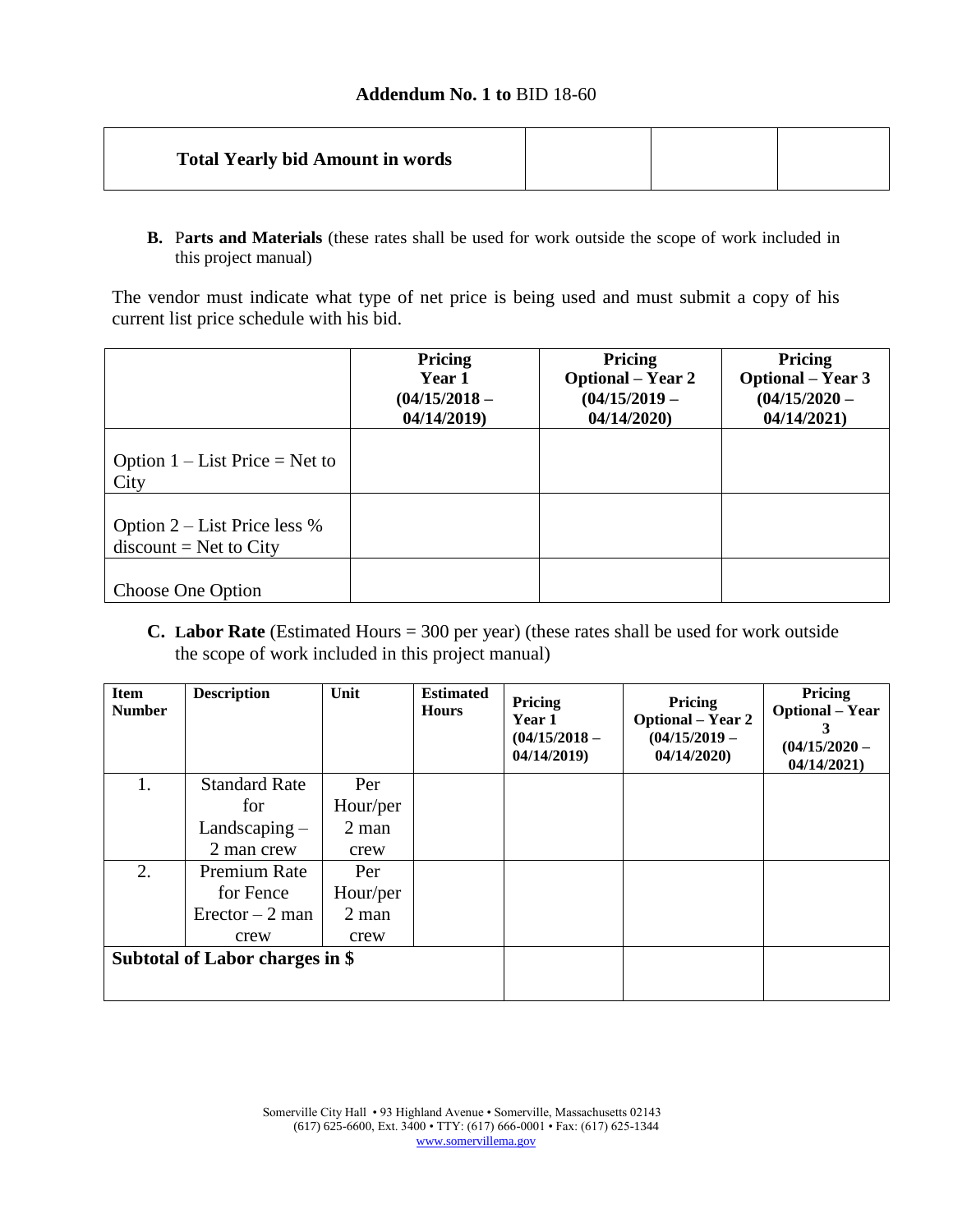| <b>Total Yearly bid Amount in words</b> |
|-----------------------------------------|
|-----------------------------------------|

**B.** P**arts and Materials** (these rates shall be used for work outside the scope of work included in this project manual)

The vendor must indicate what type of net price is being used and must submit a copy of his current list price schedule with his bid.

|                                                            | Pricing<br>Year 1<br>$(04/15/2018 -$<br>04/14/2019 | Pricing<br><b>Optional</b> – Year 2<br>$(04/15/2019 -$<br>04/14/2020 | Pricing<br><b>Optional</b> – Year 3<br>$(04/15/2020 -$<br>04/14/2021 |
|------------------------------------------------------------|----------------------------------------------------|----------------------------------------------------------------------|----------------------------------------------------------------------|
| Option $1 - List Price = Net to$<br>City                   |                                                    |                                                                      |                                                                      |
| Option $2$ – List Price less %<br>$discount = Net to City$ |                                                    |                                                                      |                                                                      |
| Choose One Option                                          |                                                    |                                                                      |                                                                      |

**C. Labor Rate** (Estimated Hours = 300 per year) (these rates shall be used for work outside the scope of work included in this project manual)

| <b>Item</b><br><b>Number</b>    | <b>Description</b>   | Unit     | <b>Estimated</b><br><b>Hours</b> | Pricing<br>Year 1<br>$(04/15/2018 -$<br>04/14/2019 | Pricing<br><b>Optional</b> – Year 2<br>$(04/15/2019 -$<br>04/14/2020 | Pricing<br><b>Optional</b> – Year<br>3<br>$(04/15/2020 -$<br>04/14/2021 |
|---------------------------------|----------------------|----------|----------------------------------|----------------------------------------------------|----------------------------------------------------------------------|-------------------------------------------------------------------------|
| 1.                              | <b>Standard Rate</b> | Per      |                                  |                                                    |                                                                      |                                                                         |
|                                 | for                  | Hour/per |                                  |                                                    |                                                                      |                                                                         |
|                                 | Landscaping $-$      | $2$ man  |                                  |                                                    |                                                                      |                                                                         |
|                                 | 2 man crew           | crew     |                                  |                                                    |                                                                      |                                                                         |
| 2.                              | Premium Rate         | Per      |                                  |                                                    |                                                                      |                                                                         |
|                                 | for Fence            | Hour/per |                                  |                                                    |                                                                      |                                                                         |
|                                 | $Erector - 2 man$    | $2$ man  |                                  |                                                    |                                                                      |                                                                         |
|                                 | crew                 | crew     |                                  |                                                    |                                                                      |                                                                         |
| Subtotal of Labor charges in \$ |                      |          |                                  |                                                    |                                                                      |                                                                         |
|                                 |                      |          |                                  |                                                    |                                                                      |                                                                         |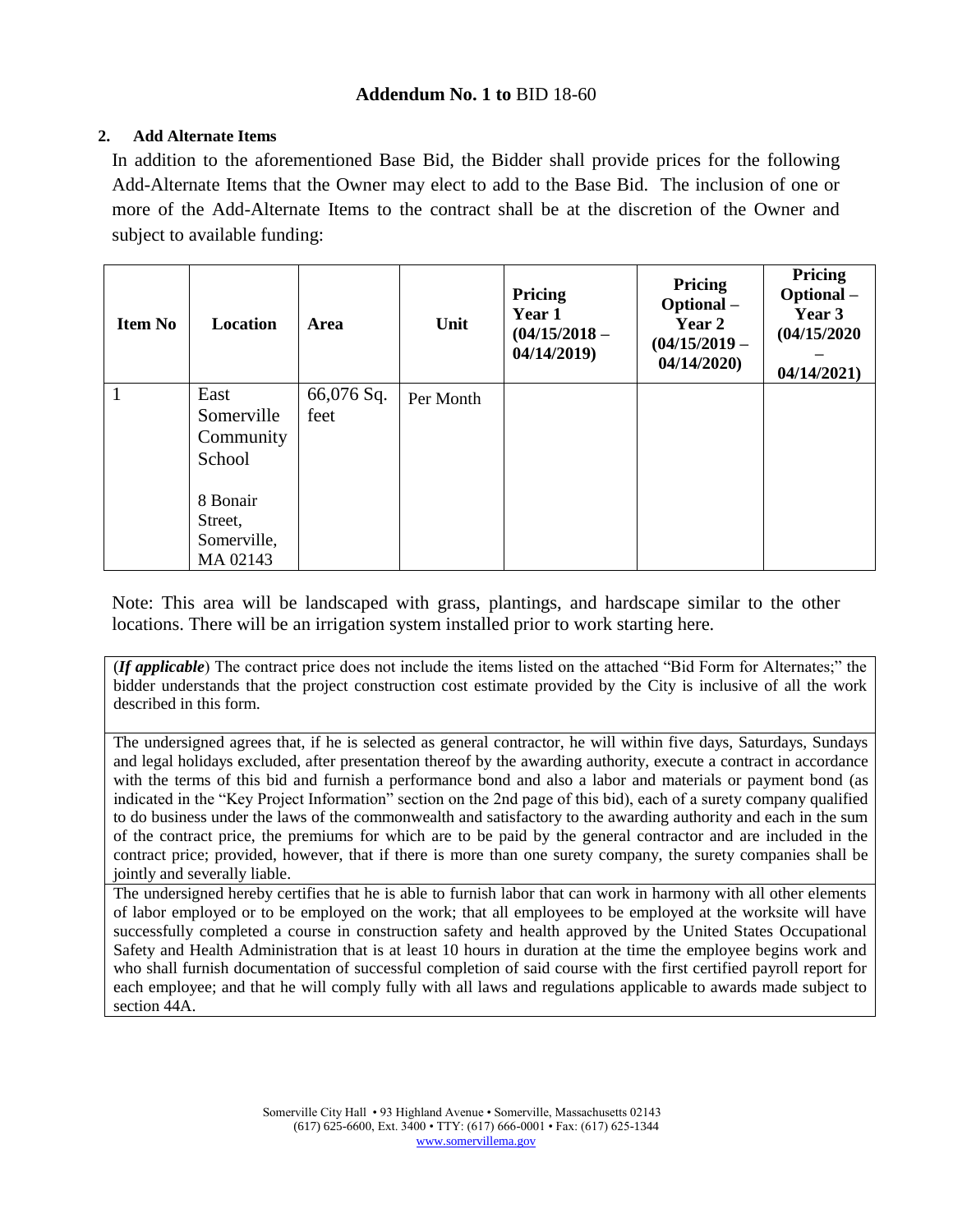#### **2. Add Alternate Items**

In addition to the aforementioned Base Bid, the Bidder shall provide prices for the following Add-Alternate Items that the Owner may elect to add to the Base Bid. The inclusion of one or more of the Add-Alternate Items to the contract shall be at the discretion of the Owner and subject to available funding:

| <b>Item No</b> | Location                                       | Area               | Unit      | Pricing<br>Year 1<br>$(04/15/2018 -$<br>04/14/2019 | Pricing<br>Optional-<br>Year 2<br>$(04/15/2019 -$<br>04/14/2020 | <b>Pricing</b><br>Optional-<br>Year 3<br>(04/15/2020)<br>04/14/2021) |
|----------------|------------------------------------------------|--------------------|-----------|----------------------------------------------------|-----------------------------------------------------------------|----------------------------------------------------------------------|
|                | East<br>Somerville<br>Community<br>School      | 66,076 Sq.<br>feet | Per Month |                                                    |                                                                 |                                                                      |
|                | 8 Bonair<br>Street,<br>Somerville,<br>MA 02143 |                    |           |                                                    |                                                                 |                                                                      |

Note: This area will be landscaped with grass, plantings, and hardscape similar to the other locations. There will be an irrigation system installed prior to work starting here.

(*If applicable*) The contract price does not include the items listed on the attached "Bid Form for Alternates;" the bidder understands that the project construction cost estimate provided by the City is inclusive of all the work described in this form.

The undersigned agrees that, if he is selected as general contractor, he will within five days, Saturdays, Sundays and legal holidays excluded, after presentation thereof by the awarding authority, execute a contract in accordance with the terms of this bid and furnish a performance bond and also a labor and materials or payment bond (as indicated in the "Key Project Information" section on the 2nd page of this bid), each of a surety company qualified to do business under the laws of the commonwealth and satisfactory to the awarding authority and each in the sum of the contract price, the premiums for which are to be paid by the general contractor and are included in the contract price; provided, however, that if there is more than one surety company, the surety companies shall be jointly and severally liable.

The undersigned hereby certifies that he is able to furnish labor that can work in harmony with all other elements of labor employed or to be employed on the work; that all employees to be employed at the worksite will have successfully completed a course in construction safety and health approved by the United States Occupational Safety and Health Administration that is at least 10 hours in duration at the time the employee begins work and who shall furnish documentation of successful completion of said course with the first certified payroll report for each employee; and that he will comply fully with all laws and regulations applicable to awards made subject to section 44A.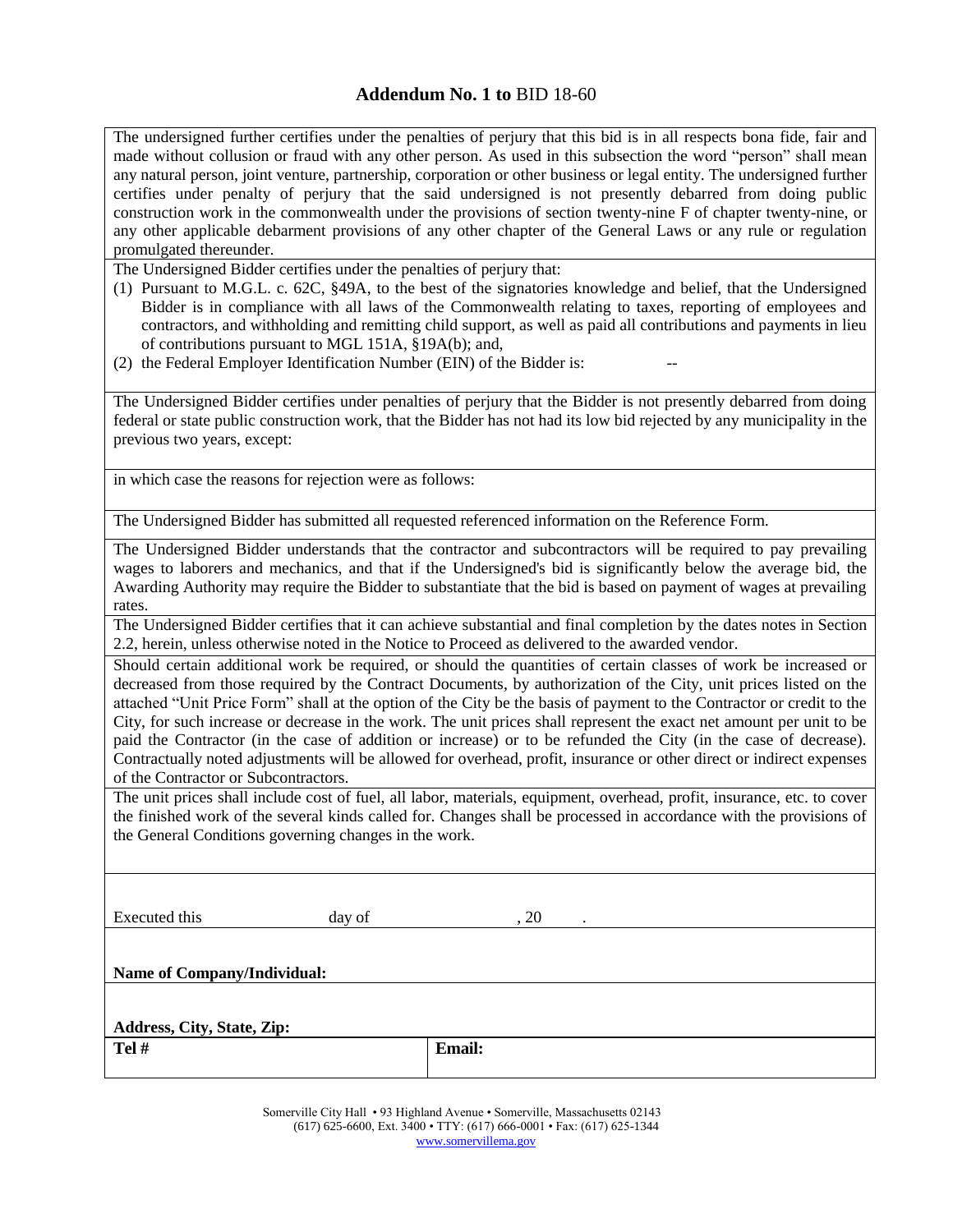The undersigned further certifies under the penalties of perjury that this bid is in all respects bona fide, fair and made without collusion or fraud with any other person. As used in this subsection the word "person" shall mean any natural person, joint venture, partnership, corporation or other business or legal entity. The undersigned further certifies under penalty of perjury that the said undersigned is not presently debarred from doing public construction work in the commonwealth under the provisions of section twenty-nine F of chapter twenty-nine, or any other applicable debarment provisions of any other chapter of the General Laws or any rule or regulation promulgated thereunder.

The Undersigned Bidder certifies under the penalties of perjury that:

- (1) Pursuant to M.G.L. c. 62C, §49A, to the best of the signatories knowledge and belief, that the Undersigned Bidder is in compliance with all laws of the Commonwealth relating to taxes, reporting of employees and contractors, and withholding and remitting child support, as well as paid all contributions and payments in lieu of contributions pursuant to MGL 151A, §19A(b); and,
- $(2)$  the Federal Employer Identification Number (EIN) of the Bidder is:

The Undersigned Bidder certifies under penalties of perjury that the Bidder is not presently debarred from doing federal or state public construction work, that the Bidder has not had its low bid rejected by any municipality in the previous two years, except:

in which case the reasons for rejection were as follows:

The Undersigned Bidder has submitted all requested referenced information on the Reference Form.

The Undersigned Bidder understands that the contractor and subcontractors will be required to pay prevailing wages to laborers and mechanics, and that if the Undersigned's bid is significantly below the average bid, the Awarding Authority may require the Bidder to substantiate that the bid is based on payment of wages at prevailing rates.

The Undersigned Bidder certifies that it can achieve substantial and final completion by the dates notes in Section 2.2, herein, unless otherwise noted in the Notice to Proceed as delivered to the awarded vendor.

Should certain additional work be required, or should the quantities of certain classes of work be increased or decreased from those required by the Contract Documents, by authorization of the City, unit prices listed on the attached "Unit Price Form" shall at the option of the City be the basis of payment to the Contractor or credit to the City, for such increase or decrease in the work. The unit prices shall represent the exact net amount per unit to be paid the Contractor (in the case of addition or increase) or to be refunded the City (in the case of decrease). Contractually noted adjustments will be allowed for overhead, profit, insurance or other direct or indirect expenses of the Contractor or Subcontractors.

The unit prices shall include cost of fuel, all labor, materials, equipment, overhead, profit, insurance, etc. to cover the finished work of the several kinds called for. Changes shall be processed in accordance with the provisions of the General Conditions governing changes in the work.

Executed this day of 3.20

**Name of Company/Individual:**

| Address, City, State, Zip: |               |
|----------------------------|---------------|
| Tel #                      | <b>Email:</b> |

Somerville City Hall • 93 Highland Avenue • Somerville, Massachusetts 02143 (617) 625-6600, Ext. 3400 • TTY: (617) 666-0001 • Fax: (617) 625-1344 [www.somervillema.gov](http://www.somervillema.gov/)